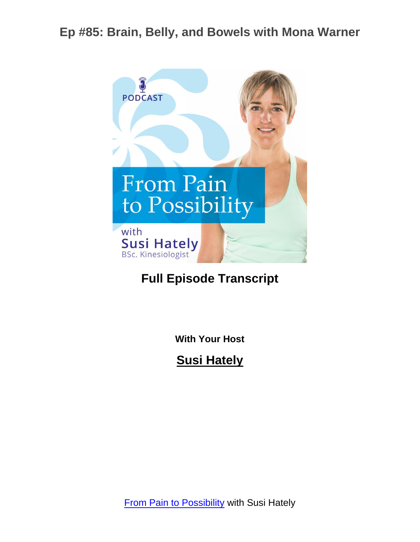

#### **Full Episode Transcript**

**With Your Host**

**Susi Hately**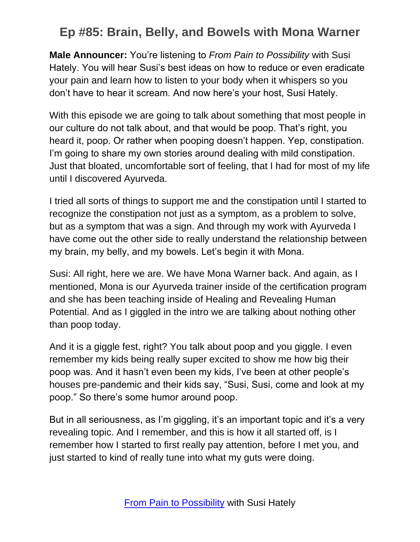**Male Announcer:** You're listening to *From Pain to Possibility* with Susi Hately. You will hear Susi's best ideas on how to reduce or even eradicate your pain and learn how to listen to your body when it whispers so you don't have to hear it scream. And now here's your host, Susi Hately.

With this episode we are going to talk about something that most people in our culture do not talk about, and that would be poop. That's right, you heard it, poop. Or rather when pooping doesn't happen. Yep, constipation. I'm going to share my own stories around dealing with mild constipation. Just that bloated, uncomfortable sort of feeling, that I had for most of my life until I discovered Ayurveda.

I tried all sorts of things to support me and the constipation until I started to recognize the constipation not just as a symptom, as a problem to solve, but as a symptom that was a sign. And through my work with Ayurveda I have come out the other side to really understand the relationship between my brain, my belly, and my bowels. Let's begin it with Mona.

Susi: All right, here we are. We have Mona Warner back. And again, as I mentioned, Mona is our Ayurveda trainer inside of the certification program and she has been teaching inside of Healing and Revealing Human Potential. And as I giggled in the intro we are talking about nothing other than poop today.

And it is a giggle fest, right? You talk about poop and you giggle. I even remember my kids being really super excited to show me how big their poop was. And it hasn't even been my kids, I've been at other people's houses pre-pandemic and their kids say, "Susi, Susi, come and look at my poop." So there's some humor around poop.

But in all seriousness, as I'm giggling, it's an important topic and it's a very revealing topic. And I remember, and this is how it all started off, is I remember how I started to first really pay attention, before I met you, and just started to kind of really tune into what my guts were doing.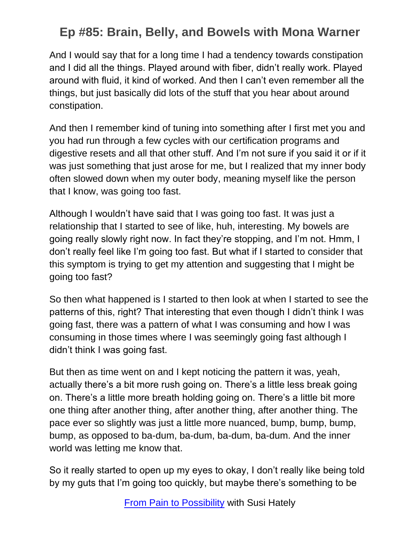And I would say that for a long time I had a tendency towards constipation and I did all the things. Played around with fiber, didn't really work. Played around with fluid, it kind of worked. And then I can't even remember all the things, but just basically did lots of the stuff that you hear about around constipation.

And then I remember kind of tuning into something after I first met you and you had run through a few cycles with our certification programs and digestive resets and all that other stuff. And I'm not sure if you said it or if it was just something that just arose for me, but I realized that my inner body often slowed down when my outer body, meaning myself like the person that I know, was going too fast.

Although I wouldn't have said that I was going too fast. It was just a relationship that I started to see of like, huh, interesting. My bowels are going really slowly right now. In fact they're stopping, and I'm not. Hmm, I don't really feel like I'm going too fast. But what if I started to consider that this symptom is trying to get my attention and suggesting that I might be going too fast?

So then what happened is I started to then look at when I started to see the patterns of this, right? That interesting that even though I didn't think I was going fast, there was a pattern of what I was consuming and how I was consuming in those times where I was seemingly going fast although I didn't think I was going fast.

But then as time went on and I kept noticing the pattern it was, yeah, actually there's a bit more rush going on. There's a little less break going on. There's a little more breath holding going on. There's a little bit more one thing after another thing, after another thing, after another thing. The pace ever so slightly was just a little more nuanced, bump, bump, bump, bump, as opposed to ba-dum, ba-dum, ba-dum, ba-dum. And the inner world was letting me know that.

So it really started to open up my eyes to okay, I don't really like being told by my guts that I'm going too quickly, but maybe there's something to be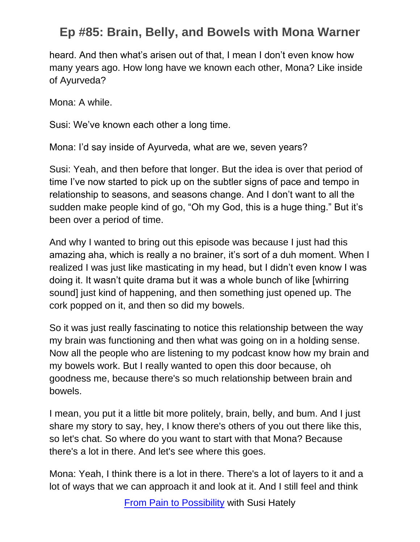heard. And then what's arisen out of that, I mean I don't even know how many years ago. How long have we known each other, Mona? Like inside of Ayurveda?

Mona: A while.

Susi: We've known each other a long time.

Mona: I'd say inside of Ayurveda, what are we, seven years?

Susi: Yeah, and then before that longer. But the idea is over that period of time I've now started to pick up on the subtler signs of pace and tempo in relationship to seasons, and seasons change. And I don't want to all the sudden make people kind of go, "Oh my God, this is a huge thing." But it's been over a period of time.

And why I wanted to bring out this episode was because I just had this amazing aha, which is really a no brainer, it's sort of a duh moment. When I realized I was just like masticating in my head, but I didn't even know I was doing it. It wasn't quite drama but it was a whole bunch of like [whirring sound] just kind of happening, and then something just opened up. The cork popped on it, and then so did my bowels.

So it was just really fascinating to notice this relationship between the way my brain was functioning and then what was going on in a holding sense. Now all the people who are listening to my podcast know how my brain and my bowels work. But I really wanted to open this door because, oh goodness me, because there's so much relationship between brain and bowels.

I mean, you put it a little bit more politely, brain, belly, and bum. And I just share my story to say, hey, I know there's others of you out there like this, so let's chat. So where do you want to start with that Mona? Because there's a lot in there. And let's see where this goes.

Mona: Yeah, I think there is a lot in there. There's a lot of layers to it and a lot of ways that we can approach it and look at it. And I still feel and think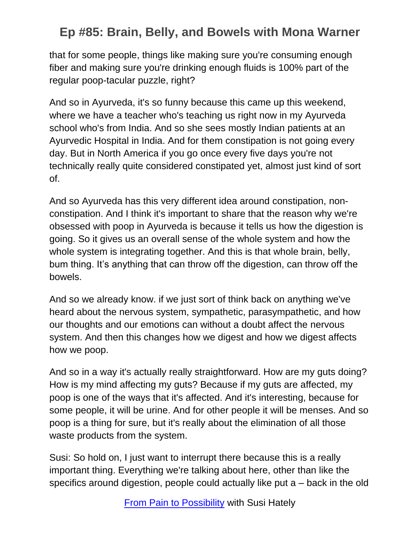that for some people, things like making sure you're consuming enough fiber and making sure you're drinking enough fluids is 100% part of the regular poop-tacular puzzle, right?

And so in Ayurveda, it's so funny because this came up this weekend, where we have a teacher who's teaching us right now in my Ayurveda school who's from India. And so she sees mostly Indian patients at an Ayurvedic Hospital in India. And for them constipation is not going every day. But in North America if you go once every five days you're not technically really quite considered constipated yet, almost just kind of sort of.

And so Ayurveda has this very different idea around constipation, nonconstipation. And I think it's important to share that the reason why we're obsessed with poop in Ayurveda is because it tells us how the digestion is going. So it gives us an overall sense of the whole system and how the whole system is integrating together. And this is that whole brain, belly, bum thing. It's anything that can throw off the digestion, can throw off the bowels.

And so we already know. if we just sort of think back on anything we've heard about the nervous system, sympathetic, parasympathetic, and how our thoughts and our emotions can without a doubt affect the nervous system. And then this changes how we digest and how we digest affects how we poop.

And so in a way it's actually really straightforward. How are my guts doing? How is my mind affecting my guts? Because if my guts are affected, my poop is one of the ways that it's affected. And it's interesting, because for some people, it will be urine. And for other people it will be menses. And so poop is a thing for sure, but it's really about the elimination of all those waste products from the system.

Susi: So hold on, I just want to interrupt there because this is a really important thing. Everything we're talking about here, other than like the specifics around digestion, people could actually like put a – back in the old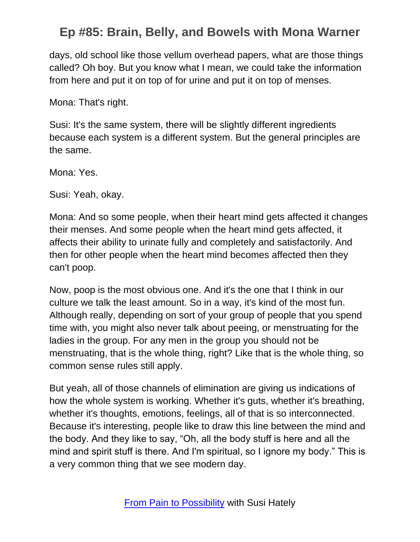days, old school like those vellum overhead papers, what are those things called? Oh boy. But you know what I mean, we could take the information from here and put it on top of for urine and put it on top of menses.

Mona: That's right.

Susi: It's the same system, there will be slightly different ingredients because each system is a different system. But the general principles are the same.

Mona: Yes.

Susi: Yeah, okay.

Mona: And so some people, when their heart mind gets affected it changes their menses. And some people when the heart mind gets affected, it affects their ability to urinate fully and completely and satisfactorily. And then for other people when the heart mind becomes affected then they can't poop.

Now, poop is the most obvious one. And it's the one that I think in our culture we talk the least amount. So in a way, it's kind of the most fun. Although really, depending on sort of your group of people that you spend time with, you might also never talk about peeing, or menstruating for the ladies in the group. For any men in the group you should not be menstruating, that is the whole thing, right? Like that is the whole thing, so common sense rules still apply.

But yeah, all of those channels of elimination are giving us indications of how the whole system is working. Whether it's guts, whether it's breathing, whether it's thoughts, emotions, feelings, all of that is so interconnected. Because it's interesting, people like to draw this line between the mind and the body. And they like to say, "Oh, all the body stuff is here and all the mind and spirit stuff is there. And I'm spiritual, so I ignore my body." This is a very common thing that we see modern day.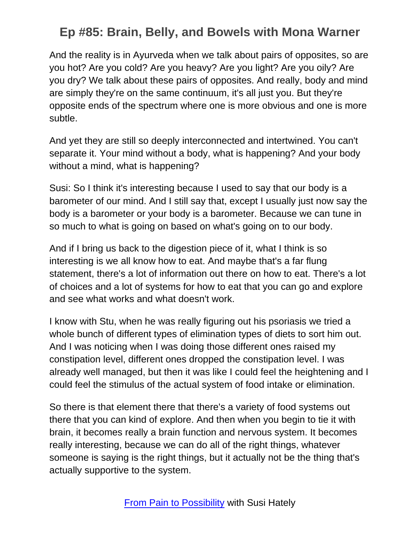And the reality is in Ayurveda when we talk about pairs of opposites, so are you hot? Are you cold? Are you heavy? Are you light? Are you oily? Are you dry? We talk about these pairs of opposites. And really, body and mind are simply they're on the same continuum, it's all just you. But they're opposite ends of the spectrum where one is more obvious and one is more subtle.

And yet they are still so deeply interconnected and intertwined. You can't separate it. Your mind without a body, what is happening? And your body without a mind, what is happening?

Susi: So I think it's interesting because I used to say that our body is a barometer of our mind. And I still say that, except I usually just now say the body is a barometer or your body is a barometer. Because we can tune in so much to what is going on based on what's going on to our body.

And if I bring us back to the digestion piece of it, what I think is so interesting is we all know how to eat. And maybe that's a far flung statement, there's a lot of information out there on how to eat. There's a lot of choices and a lot of systems for how to eat that you can go and explore and see what works and what doesn't work.

I know with Stu, when he was really figuring out his psoriasis we tried a whole bunch of different types of elimination types of diets to sort him out. And I was noticing when I was doing those different ones raised my constipation level, different ones dropped the constipation level. I was already well managed, but then it was like I could feel the heightening and I could feel the stimulus of the actual system of food intake or elimination.

So there is that element there that there's a variety of food systems out there that you can kind of explore. And then when you begin to tie it with brain, it becomes really a brain function and nervous system. It becomes really interesting, because we can do all of the right things, whatever someone is saying is the right things, but it actually not be the thing that's actually supportive to the system.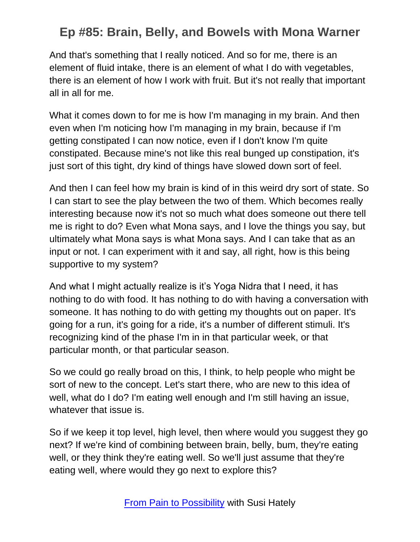And that's something that I really noticed. And so for me, there is an element of fluid intake, there is an element of what I do with vegetables, there is an element of how I work with fruit. But it's not really that important all in all for me.

What it comes down to for me is how I'm managing in my brain. And then even when I'm noticing how I'm managing in my brain, because if I'm getting constipated I can now notice, even if I don't know I'm quite constipated. Because mine's not like this real bunged up constipation, it's just sort of this tight, dry kind of things have slowed down sort of feel.

And then I can feel how my brain is kind of in this weird dry sort of state. So I can start to see the play between the two of them. Which becomes really interesting because now it's not so much what does someone out there tell me is right to do? Even what Mona says, and I love the things you say, but ultimately what Mona says is what Mona says. And I can take that as an input or not. I can experiment with it and say, all right, how is this being supportive to my system?

And what I might actually realize is it's Yoga Nidra that I need, it has nothing to do with food. It has nothing to do with having a conversation with someone. It has nothing to do with getting my thoughts out on paper. It's going for a run, it's going for a ride, it's a number of different stimuli. It's recognizing kind of the phase I'm in in that particular week, or that particular month, or that particular season.

So we could go really broad on this, I think, to help people who might be sort of new to the concept. Let's start there, who are new to this idea of well, what do I do? I'm eating well enough and I'm still having an issue, whatever that issue is.

So if we keep it top level, high level, then where would you suggest they go next? If we're kind of combining between brain, belly, bum, they're eating well, or they think they're eating well. So we'll just assume that they're eating well, where would they go next to explore this?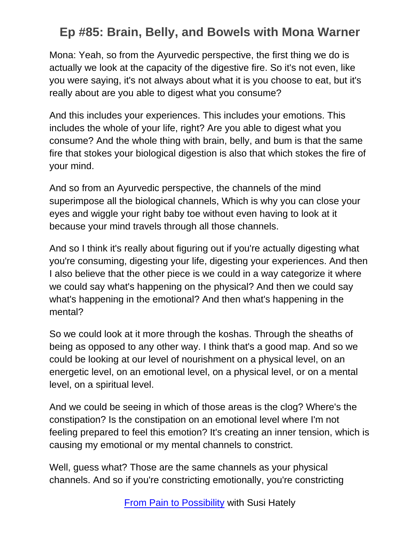Mona: Yeah, so from the Ayurvedic perspective, the first thing we do is actually we look at the capacity of the digestive fire. So it's not even, like you were saying, it's not always about what it is you choose to eat, but it's really about are you able to digest what you consume?

And this includes your experiences. This includes your emotions. This includes the whole of your life, right? Are you able to digest what you consume? And the whole thing with brain, belly, and bum is that the same fire that stokes your biological digestion is also that which stokes the fire of your mind.

And so from an Ayurvedic perspective, the channels of the mind superimpose all the biological channels, Which is why you can close your eyes and wiggle your right baby toe without even having to look at it because your mind travels through all those channels.

And so I think it's really about figuring out if you're actually digesting what you're consuming, digesting your life, digesting your experiences. And then I also believe that the other piece is we could in a way categorize it where we could say what's happening on the physical? And then we could say what's happening in the emotional? And then what's happening in the mental?

So we could look at it more through the koshas. Through the sheaths of being as opposed to any other way. I think that's a good map. And so we could be looking at our level of nourishment on a physical level, on an energetic level, on an emotional level, on a physical level, or on a mental level, on a spiritual level.

And we could be seeing in which of those areas is the clog? Where's the constipation? Is the constipation on an emotional level where I'm not feeling prepared to feel this emotion? It's creating an inner tension, which is causing my emotional or my mental channels to constrict.

Well, guess what? Those are the same channels as your physical channels. And so if you're constricting emotionally, you're constricting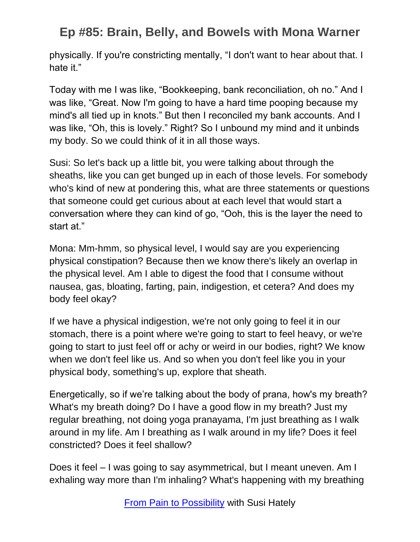physically. If you're constricting mentally, "I don't want to hear about that. I hate it."

Today with me I was like, "Bookkeeping, bank reconciliation, oh no." And I was like, "Great. Now I'm going to have a hard time pooping because my mind's all tied up in knots." But then I reconciled my bank accounts. And I was like, "Oh, this is lovely." Right? So I unbound my mind and it unbinds my body. So we could think of it in all those ways.

Susi: So let's back up a little bit, you were talking about through the sheaths, like you can get bunged up in each of those levels. For somebody who's kind of new at pondering this, what are three statements or questions that someone could get curious about at each level that would start a conversation where they can kind of go, "Ooh, this is the layer the need to start at."

Mona: Mm-hmm, so physical level, I would say are you experiencing physical constipation? Because then we know there's likely an overlap in the physical level. Am I able to digest the food that I consume without nausea, gas, bloating, farting, pain, indigestion, et cetera? And does my body feel okay?

If we have a physical indigestion, we're not only going to feel it in our stomach, there is a point where we're going to start to feel heavy, or we're going to start to just feel off or achy or weird in our bodies, right? We know when we don't feel like us. And so when you don't feel like you in your physical body, something's up, explore that sheath.

Energetically, so if we're talking about the body of prana, how's my breath? What's my breath doing? Do I have a good flow in my breath? Just my regular breathing, not doing yoga pranayama, I'm just breathing as I walk around in my life. Am I breathing as I walk around in my life? Does it feel constricted? Does it feel shallow?

Does it feel – I was going to say asymmetrical, but I meant uneven. Am I exhaling way more than I'm inhaling? What's happening with my breathing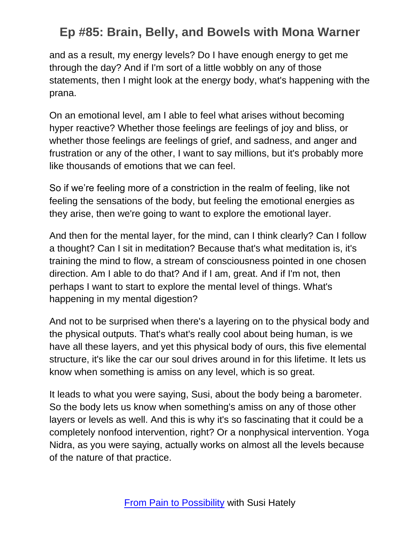and as a result, my energy levels? Do I have enough energy to get me through the day? And if I'm sort of a little wobbly on any of those statements, then I might look at the energy body, what's happening with the prana.

On an emotional level, am I able to feel what arises without becoming hyper reactive? Whether those feelings are feelings of joy and bliss, or whether those feelings are feelings of grief, and sadness, and anger and frustration or any of the other, I want to say millions, but it's probably more like thousands of emotions that we can feel.

So if we're feeling more of a constriction in the realm of feeling, like not feeling the sensations of the body, but feeling the emotional energies as they arise, then we're going to want to explore the emotional layer.

And then for the mental layer, for the mind, can I think clearly? Can I follow a thought? Can I sit in meditation? Because that's what meditation is, it's training the mind to flow, a stream of consciousness pointed in one chosen direction. Am I able to do that? And if I am, great. And if I'm not, then perhaps I want to start to explore the mental level of things. What's happening in my mental digestion?

And not to be surprised when there's a layering on to the physical body and the physical outputs. That's what's really cool about being human, is we have all these layers, and yet this physical body of ours, this five elemental structure, it's like the car our soul drives around in for this lifetime. It lets us know when something is amiss on any level, which is so great.

It leads to what you were saying, Susi, about the body being a barometer. So the body lets us know when something's amiss on any of those other layers or levels as well. And this is why it's so fascinating that it could be a completely nonfood intervention, right? Or a nonphysical intervention. Yoga Nidra, as you were saying, actually works on almost all the levels because of the nature of that practice.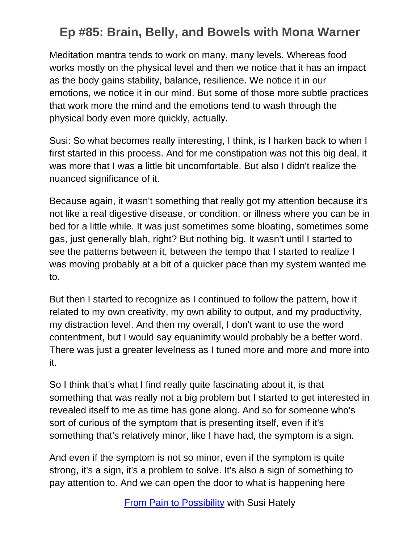Meditation mantra tends to work on many, many levels. Whereas food works mostly on the physical level and then we notice that it has an impact as the body gains stability, balance, resilience. We notice it in our emotions, we notice it in our mind. But some of those more subtle practices that work more the mind and the emotions tend to wash through the physical body even more quickly, actually.

Susi: So what becomes really interesting, I think, is I harken back to when I first started in this process. And for me constipation was not this big deal, it was more that I was a little bit uncomfortable. But also I didn't realize the nuanced significance of it.

Because again, it wasn't something that really got my attention because it's not like a real digestive disease, or condition, or illness where you can be in bed for a little while. It was just sometimes some bloating, sometimes some gas, just generally blah, right? But nothing big. It wasn't until I started to see the patterns between it, between the tempo that I started to realize I was moving probably at a bit of a quicker pace than my system wanted me to.

But then I started to recognize as I continued to follow the pattern, how it related to my own creativity, my own ability to output, and my productivity, my distraction level. And then my overall, I don't want to use the word contentment, but I would say equanimity would probably be a better word. There was just a greater levelness as I tuned more and more and more into it.

So I think that's what I find really quite fascinating about it, is that something that was really not a big problem but I started to get interested in revealed itself to me as time has gone along. And so for someone who's sort of curious of the symptom that is presenting itself, even if it's something that's relatively minor, like I have had, the symptom is a sign.

And even if the symptom is not so minor, even if the symptom is quite strong, it's a sign, it's a problem to solve. It's also a sign of something to pay attention to. And we can open the door to what is happening here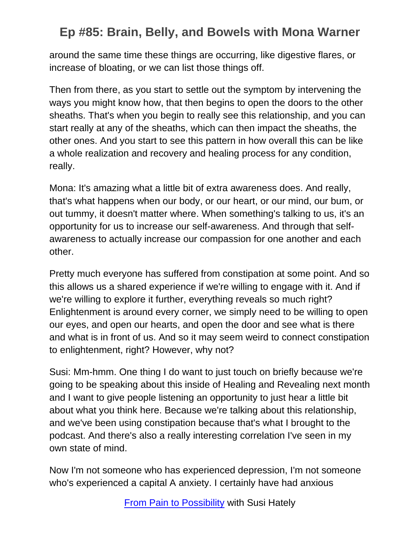around the same time these things are occurring, like digestive flares, or increase of bloating, or we can list those things off.

Then from there, as you start to settle out the symptom by intervening the ways you might know how, that then begins to open the doors to the other sheaths. That's when you begin to really see this relationship, and you can start really at any of the sheaths, which can then impact the sheaths, the other ones. And you start to see this pattern in how overall this can be like a whole realization and recovery and healing process for any condition, really.

Mona: It's amazing what a little bit of extra awareness does. And really, that's what happens when our body, or our heart, or our mind, our bum, or out tummy, it doesn't matter where. When something's talking to us, it's an opportunity for us to increase our self-awareness. And through that selfawareness to actually increase our compassion for one another and each other.

Pretty much everyone has suffered from constipation at some point. And so this allows us a shared experience if we're willing to engage with it. And if we're willing to explore it further, everything reveals so much right? Enlightenment is around every corner, we simply need to be willing to open our eyes, and open our hearts, and open the door and see what is there and what is in front of us. And so it may seem weird to connect constipation to enlightenment, right? However, why not?

Susi: Mm-hmm. One thing I do want to just touch on briefly because we're going to be speaking about this inside of Healing and Revealing next month and I want to give people listening an opportunity to just hear a little bit about what you think here. Because we're talking about this relationship, and we've been using constipation because that's what I brought to the podcast. And there's also a really interesting correlation I've seen in my own state of mind.

Now I'm not someone who has experienced depression, I'm not someone who's experienced a capital A anxiety. I certainly have had anxious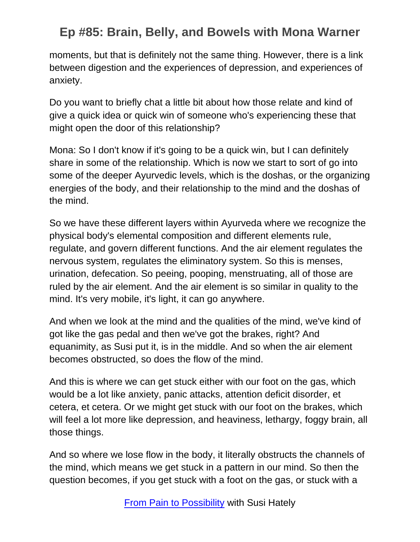moments, but that is definitely not the same thing. However, there is a link between digestion and the experiences of depression, and experiences of anxiety.

Do you want to briefly chat a little bit about how those relate and kind of give a quick idea or quick win of someone who's experiencing these that might open the door of this relationship?

Mona: So I don't know if it's going to be a quick win, but I can definitely share in some of the relationship. Which is now we start to sort of go into some of the deeper Ayurvedic levels, which is the doshas, or the organizing energies of the body, and their relationship to the mind and the doshas of the mind.

So we have these different layers within Ayurveda where we recognize the physical body's elemental composition and different elements rule, regulate, and govern different functions. And the air element regulates the nervous system, regulates the eliminatory system. So this is menses, urination, defecation. So peeing, pooping, menstruating, all of those are ruled by the air element. And the air element is so similar in quality to the mind. It's very mobile, it's light, it can go anywhere.

And when we look at the mind and the qualities of the mind, we've kind of got like the gas pedal and then we've got the brakes, right? And equanimity, as Susi put it, is in the middle. And so when the air element becomes obstructed, so does the flow of the mind.

And this is where we can get stuck either with our foot on the gas, which would be a lot like anxiety, panic attacks, attention deficit disorder, et cetera, et cetera. Or we might get stuck with our foot on the brakes, which will feel a lot more like depression, and heaviness, lethargy, foggy brain, all those things.

And so where we lose flow in the body, it literally obstructs the channels of the mind, which means we get stuck in a pattern in our mind. So then the question becomes, if you get stuck with a foot on the gas, or stuck with a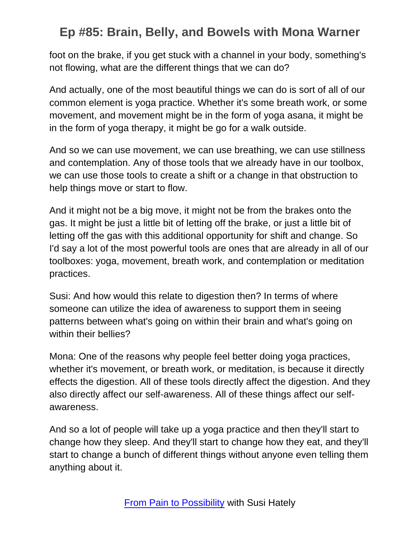foot on the brake, if you get stuck with a channel in your body, something's not flowing, what are the different things that we can do?

And actually, one of the most beautiful things we can do is sort of all of our common element is yoga practice. Whether it's some breath work, or some movement, and movement might be in the form of yoga asana, it might be in the form of yoga therapy, it might be go for a walk outside.

And so we can use movement, we can use breathing, we can use stillness and contemplation. Any of those tools that we already have in our toolbox, we can use those tools to create a shift or a change in that obstruction to help things move or start to flow.

And it might not be a big move, it might not be from the brakes onto the gas. It might be just a little bit of letting off the brake, or just a little bit of letting off the gas with this additional opportunity for shift and change. So I'd say a lot of the most powerful tools are ones that are already in all of our toolboxes: yoga, movement, breath work, and contemplation or meditation practices.

Susi: And how would this relate to digestion then? In terms of where someone can utilize the idea of awareness to support them in seeing patterns between what's going on within their brain and what's going on within their bellies?

Mona: One of the reasons why people feel better doing yoga practices, whether it's movement, or breath work, or meditation, is because it directly effects the digestion. All of these tools directly affect the digestion. And they also directly affect our self-awareness. All of these things affect our selfawareness.

And so a lot of people will take up a yoga practice and then they'll start to change how they sleep. And they'll start to change how they eat, and they'll start to change a bunch of different things without anyone even telling them anything about it.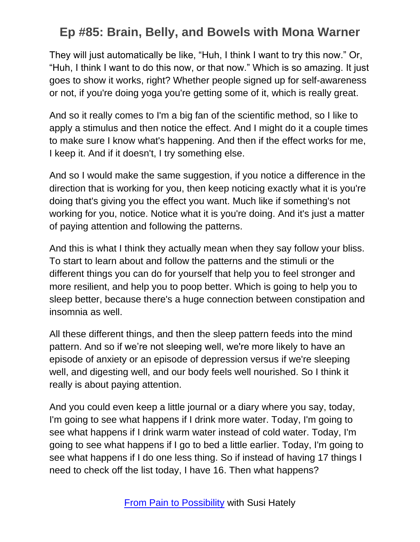They will just automatically be like, "Huh, I think I want to try this now." Or, "Huh, I think I want to do this now, or that now." Which is so amazing. It just goes to show it works, right? Whether people signed up for self-awareness or not, if you're doing yoga you're getting some of it, which is really great.

And so it really comes to I'm a big fan of the scientific method, so I like to apply a stimulus and then notice the effect. And I might do it a couple times to make sure I know what's happening. And then if the effect works for me, I keep it. And if it doesn't, I try something else.

And so I would make the same suggestion, if you notice a difference in the direction that is working for you, then keep noticing exactly what it is you're doing that's giving you the effect you want. Much like if something's not working for you, notice. Notice what it is you're doing. And it's just a matter of paying attention and following the patterns.

And this is what I think they actually mean when they say follow your bliss. To start to learn about and follow the patterns and the stimuli or the different things you can do for yourself that help you to feel stronger and more resilient, and help you to poop better. Which is going to help you to sleep better, because there's a huge connection between constipation and insomnia as well.

All these different things, and then the sleep pattern feeds into the mind pattern. And so if we're not sleeping well, we're more likely to have an episode of anxiety or an episode of depression versus if we're sleeping well, and digesting well, and our body feels well nourished. So I think it really is about paying attention.

And you could even keep a little journal or a diary where you say, today, I'm going to see what happens if I drink more water. Today, I'm going to see what happens if I drink warm water instead of cold water. Today, I'm going to see what happens if I go to bed a little earlier. Today, I'm going to see what happens if I do one less thing. So if instead of having 17 things I need to check off the list today, I have 16. Then what happens?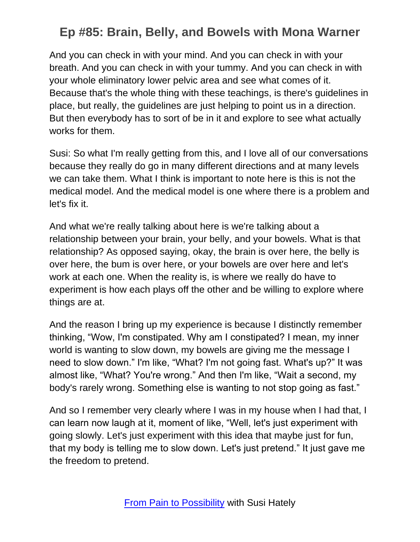And you can check in with your mind. And you can check in with your breath. And you can check in with your tummy. And you can check in with your whole eliminatory lower pelvic area and see what comes of it. Because that's the whole thing with these teachings, is there's guidelines in place, but really, the guidelines are just helping to point us in a direction. But then everybody has to sort of be in it and explore to see what actually works for them.

Susi: So what I'm really getting from this, and I love all of our conversations because they really do go in many different directions and at many levels we can take them. What I think is important to note here is this is not the medical model. And the medical model is one where there is a problem and let's fix it.

And what we're really talking about here is we're talking about a relationship between your brain, your belly, and your bowels. What is that relationship? As opposed saying, okay, the brain is over here, the belly is over here, the bum is over here, or your bowels are over here and let's work at each one. When the reality is, is where we really do have to experiment is how each plays off the other and be willing to explore where things are at.

And the reason I bring up my experience is because I distinctly remember thinking, "Wow, I'm constipated. Why am I constipated? I mean, my inner world is wanting to slow down, my bowels are giving me the message I need to slow down." I'm like, "What? I'm not going fast. What's up?" It was almost like, "What? You're wrong." And then I'm like, "Wait a second, my body's rarely wrong. Something else is wanting to not stop going as fast."

And so I remember very clearly where I was in my house when I had that, I can learn now laugh at it, moment of like, "Well, let's just experiment with going slowly. Let's just experiment with this idea that maybe just for fun, that my body is telling me to slow down. Let's just pretend." It just gave me the freedom to pretend.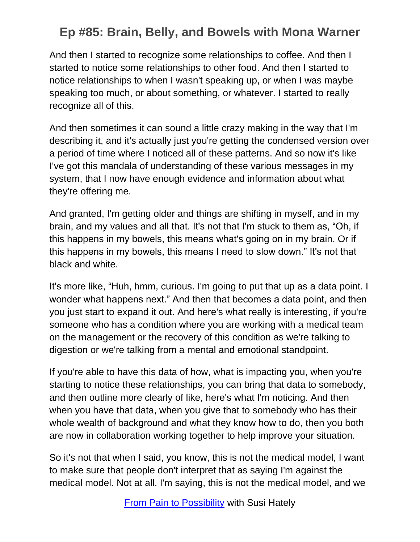And then I started to recognize some relationships to coffee. And then I started to notice some relationships to other food. And then I started to notice relationships to when I wasn't speaking up, or when I was maybe speaking too much, or about something, or whatever. I started to really recognize all of this.

And then sometimes it can sound a little crazy making in the way that I'm describing it, and it's actually just you're getting the condensed version over a period of time where I noticed all of these patterns. And so now it's like I've got this mandala of understanding of these various messages in my system, that I now have enough evidence and information about what they're offering me.

And granted, I'm getting older and things are shifting in myself, and in my brain, and my values and all that. It's not that I'm stuck to them as, "Oh, if this happens in my bowels, this means what's going on in my brain. Or if this happens in my bowels, this means I need to slow down." It's not that black and white.

It's more like, "Huh, hmm, curious. I'm going to put that up as a data point. I wonder what happens next." And then that becomes a data point, and then you just start to expand it out. And here's what really is interesting, if you're someone who has a condition where you are working with a medical team on the management or the recovery of this condition as we're talking to digestion or we're talking from a mental and emotional standpoint.

If you're able to have this data of how, what is impacting you, when you're starting to notice these relationships, you can bring that data to somebody, and then outline more clearly of like, here's what I'm noticing. And then when you have that data, when you give that to somebody who has their whole wealth of background and what they know how to do, then you both are now in collaboration working together to help improve your situation.

So it's not that when I said, you know, this is not the medical model, I want to make sure that people don't interpret that as saying I'm against the medical model. Not at all. I'm saying, this is not the medical model, and we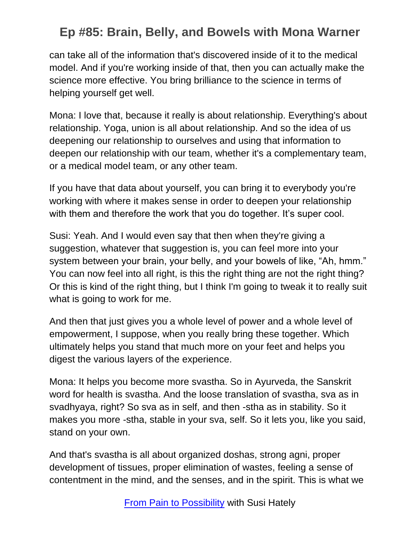can take all of the information that's discovered inside of it to the medical model. And if you're working inside of that, then you can actually make the science more effective. You bring brilliance to the science in terms of helping yourself get well.

Mona: I love that, because it really is about relationship. Everything's about relationship. Yoga, union is all about relationship. And so the idea of us deepening our relationship to ourselves and using that information to deepen our relationship with our team, whether it's a complementary team, or a medical model team, or any other team.

If you have that data about yourself, you can bring it to everybody you're working with where it makes sense in order to deepen your relationship with them and therefore the work that you do together. It's super cool.

Susi: Yeah. And I would even say that then when they're giving a suggestion, whatever that suggestion is, you can feel more into your system between your brain, your belly, and your bowels of like, "Ah, hmm." You can now feel into all right, is this the right thing are not the right thing? Or this is kind of the right thing, but I think I'm going to tweak it to really suit what is going to work for me.

And then that just gives you a whole level of power and a whole level of empowerment, I suppose, when you really bring these together. Which ultimately helps you stand that much more on your feet and helps you digest the various layers of the experience.

Mona: It helps you become more svastha. So in Ayurveda, the Sanskrit word for health is svastha. And the loose translation of svastha, sva as in svadhyaya, right? So sva as in self, and then -stha as in stability. So it makes you more -stha, stable in your sva, self. So it lets you, like you said, stand on your own.

And that's svastha is all about organized doshas, strong agni, proper development of tissues, proper elimination of wastes, feeling a sense of contentment in the mind, and the senses, and in the spirit. This is what we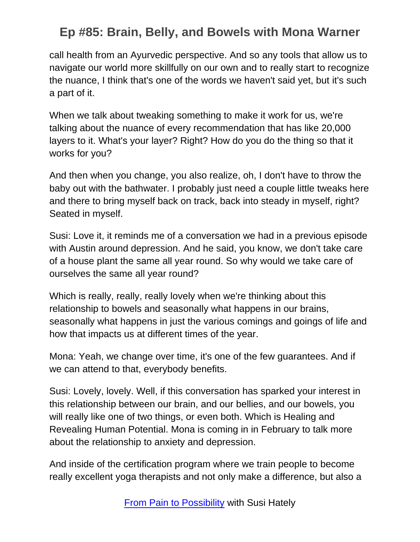call health from an Ayurvedic perspective. And so any tools that allow us to navigate our world more skillfully on our own and to really start to recognize the nuance, I think that's one of the words we haven't said yet, but it's such a part of it.

When we talk about tweaking something to make it work for us, we're talking about the nuance of every recommendation that has like 20,000 layers to it. What's your layer? Right? How do you do the thing so that it works for you?

And then when you change, you also realize, oh, I don't have to throw the baby out with the bathwater. I probably just need a couple little tweaks here and there to bring myself back on track, back into steady in myself, right? Seated in myself.

Susi: Love it, it reminds me of a conversation we had in a previous episode with Austin around depression. And he said, you know, we don't take care of a house plant the same all year round. So why would we take care of ourselves the same all year round?

Which is really, really, really lovely when we're thinking about this relationship to bowels and seasonally what happens in our brains, seasonally what happens in just the various comings and goings of life and how that impacts us at different times of the year.

Mona: Yeah, we change over time, it's one of the few guarantees. And if we can attend to that, everybody benefits.

Susi: Lovely, lovely. Well, if this conversation has sparked your interest in this relationship between our brain, and our bellies, and our bowels, you will really like one of two things, or even both. Which is Healing and Revealing Human Potential. Mona is coming in in February to talk more about the relationship to anxiety and depression.

And inside of the certification program where we train people to become really excellent yoga therapists and not only make a difference, but also a